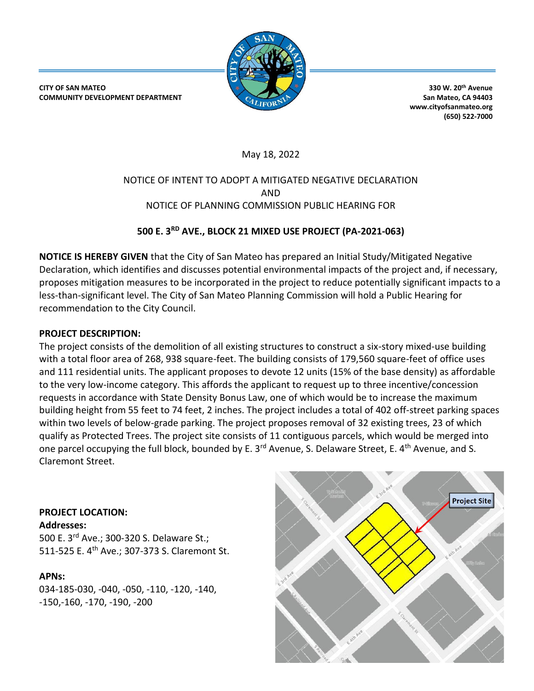

**CITY OF SAN MATEO COMMUNITY DEVELOPMENT DEPARTMENT**

**330 W. 20th Avenue San Mateo, CA 94403 www.cityofsanmateo.org (650) 522-7000**

May 18, 2022

## NOTICE OF INTENT TO ADOPT A MITIGATED NEGATIVE DECLARATION AND NOTICE OF PLANNING COMMISSION PUBLIC HEARING FOR

# **500 E. 3RD AVE., BLOCK 21 MIXED USE PROJECT (PA-2021-063)**

**NOTICE IS HEREBY GIVEN** that the City of San Mateo has prepared an Initial Study/Mitigated Negative Declaration, which identifies and discusses potential environmental impacts of the project and, if necessary, proposes mitigation measures to be incorporated in the project to reduce potentially significant impacts to a less-than-significant level. The City of San Mateo Planning Commission will hold a Public Hearing for recommendation to the City Council.

## **PROJECT DESCRIPTION:**

The project consists of the demolition of all existing structures to construct a six-story mixed-use building with a total floor area of 268, 938 square-feet. The building consists of 179,560 square-feet of office uses and 111 residential units. The applicant proposes to devote 12 units (15% of the base density) as affordable to the very low-income category. This affords the applicant to request up to three incentive/concession requests in accordance with State Density Bonus Law, one of which would be to increase the maximum building height from 55 feet to 74 feet, 2 inches. The project includes a total of 402 off-street parking spaces within two levels of below-grade parking. The project proposes removal of 32 existing trees, 23 of which qualify as Protected Trees. The project site consists of 11 contiguous parcels, which would be merged into one parcel occupying the full block, bounded by E. 3<sup>rd</sup> Avenue, S. Delaware Street, E. 4<sup>th</sup> Avenue, and S. Claremont Street.

## **PROJECT LOCATION:**

**Addresses:**

500 E. 3<sup>rd</sup> Ave.; 300-320 S. Delaware St.; 511-525 E. 4<sup>th</sup> Ave.; 307-373 S. Claremont St.

## **APNs:**

034-185-030, -040, -050, -110, -120, -140, -150,-160, -170, -190, -200